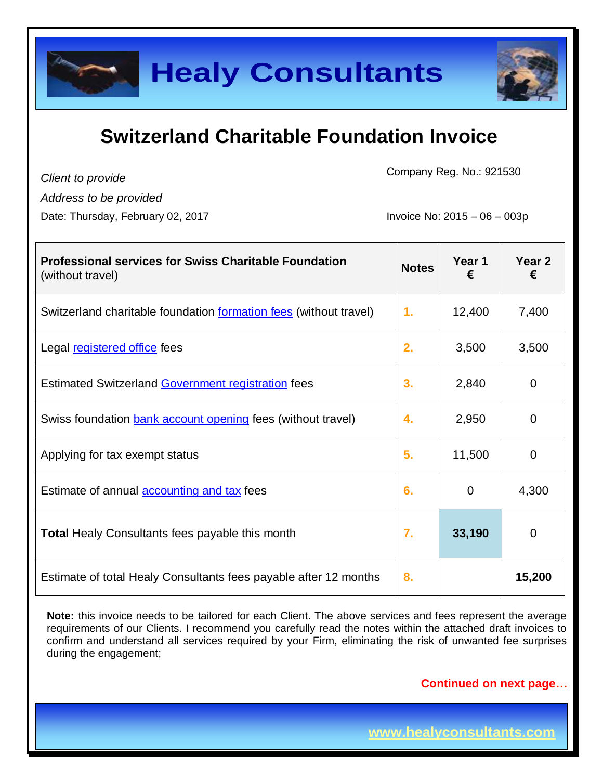

*Client to provide*

Company Reg. No.: 921530

*Address to be provided*

Date: Thursday, February 02, 2017 **Invoice No: 2015** – 06 – 003p

| <b>Professional services for Swiss Charitable Foundation</b><br>(without travel) | <b>Notes</b> | Year 1<br>€ | Year 2<br>€ |
|----------------------------------------------------------------------------------|--------------|-------------|-------------|
| Switzerland charitable foundation formation fees (without travel)                | 1.           | 12,400      | 7,400       |
| Legal registered office fees                                                     | 2.           | 3,500       | 3,500       |
| <b>Estimated Switzerland Government registration fees</b>                        | 3.           | 2,840       | 0           |
| Swiss foundation <b>bank account opening</b> fees (without travel)               | 4.           | 2,950       | 0           |
| Applying for tax exempt status                                                   | 5.           | 11,500      | 0           |
| Estimate of annual <b>accounting and tax</b> fees                                | 6.           | 0           | 4,300       |
| <b>Total Healy Consultants fees payable this month</b>                           | 7.           | 33,190      | 0           |
| Estimate of total Healy Consultants fees payable after 12 months                 | 8.           |             | 15,200      |

**Note:** this invoice needs to be tailored for each Client. The above services and fees represent the average requirements of our Clients. I recommend you carefully read the notes within the attached draft invoices to confirm and understand all services required by your Firm, eliminating the risk of unwanted fee surprises during the engagement;

**Continued on next page…**

**www.healyconsultants.com**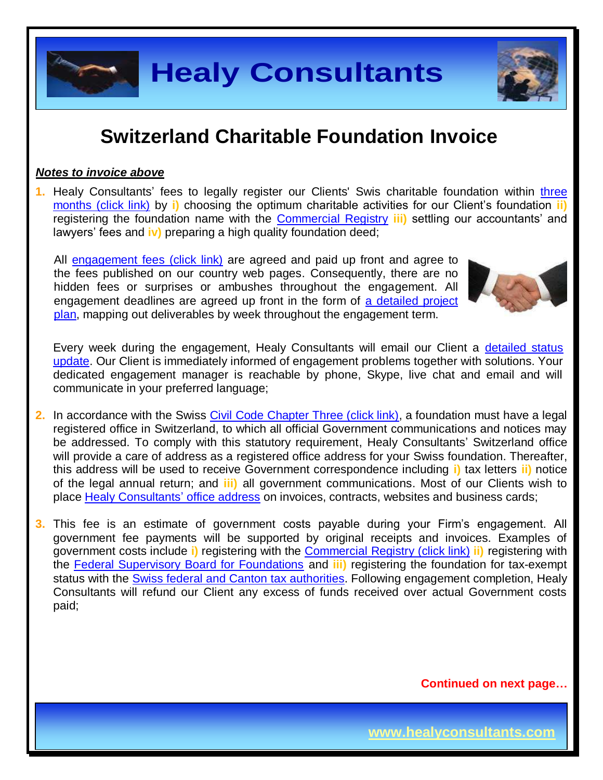

#### *Notes to invoice above*

**1.** Healy Consultants' fees to legally register our Clients' Swis charitable foundation within [three](http://www.healyconsultants.com/switzerland-company-registration/fees-timelines/#timelines)  [months \(click link\)](http://www.healyconsultants.com/switzerland-company-registration/fees-timelines/#timelines) by **i)** choosing the optimum charitable activities for our Client's foundation **ii)** registering the foundation name with the [Commercial Registry](http://zefix.admin.ch/zfx-cgi/hrform.cgi/hraPage?alle_eintr=on&pers_sort=original&pers_num=0&language=4&col_width=366&amt=007) **iii)** settling our accountants' and lawyers' fees and **iv)** preparing a high quality foundation deed;

All [engagement fees \(click link\)](http://www.healyconsultants.com/company-registration-fees/) are agreed and paid up front and agree to the fees published on our country web pages. Consequently, there are no hidden fees or surprises or ambushes throughout the engagement. All engagement deadlines are agreed up front in the form of a detailed project [plan,](http://www.healyconsultants.com/index-important-links/example-project-plan/) mapping out deliverables by week throughout the engagement term.



Every week during the engagement, Healy Consultants will email our Client a [detailed status](http://www.healyconsultants.com/index-important-links/weekly-engagement-status-email/)  [update.](http://www.healyconsultants.com/index-important-links/weekly-engagement-status-email/) Our Client is immediately informed of engagement problems together with solutions. Your dedicated engagement manager is reachable by phone, Skype, live chat and email and will communicate in your preferred language;

- **2.** In accordance with the Swiss [Civil Code Chapter Three \(click link\),](https://www.admin.ch/opc/en/classified-compilation/19070042/201407010000/210.pdf) a foundation must have a legal registered office in Switzerland, to which all official Government communications and notices may be addressed. To comply with this statutory requirement, Healy Consultants' Switzerland office will provide a care of address as a registered office address for your Swiss foundation. Thereafter, this address will be used to receive Government correspondence including **i)** tax letters **ii)** notice of the legal annual return; and **iii)** all government communications. Most of our Clients wish to place [Healy Consultants'](http://www.healyconsultants.com/corporate-outsourcing-services/company-secretary-and-legal-registered-office/) office address on invoices, contracts, websites and business cards;
- **3.** This fee is an estimate of government costs payable during your Firm's engagement. All government fee payments will be supported by original receipts and invoices. Examples of government costs include **i)** registering with the [Commercial Registry \(click link\)](http://www.zefix.ch/zfx-cgi/hrform.cgi/hraPage?alle_eintr=on&pers_sort=original&pers_num=0&language=2&col_width=366&amt=007) **ii)** registering with the [Federal Supervisory Board for Foundations](http://www.edi.admin.ch/org/00344/00346/05157/index.html?lang=en) and **iii)** registering the foundation for tax-exempt status with the Swiss [federal and Canton](http://www.estv.admin.ch/?lang=en) tax authorities. Following engagement completion, Healy Consultants will refund our Client any excess of funds received over actual Government costs paid;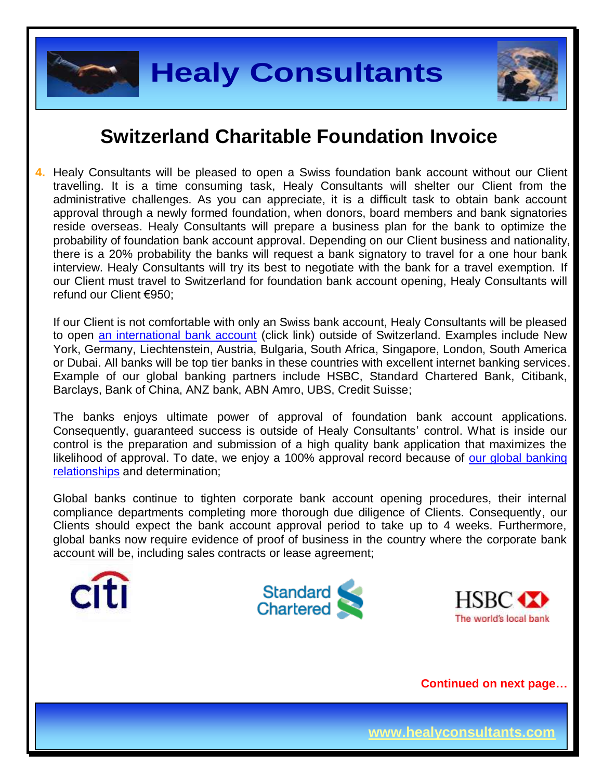



**4.** Healy Consultants will be pleased to open a Swiss foundation bank account without our Client travelling. It is a time consuming task, Healy Consultants will shelter our Client from the administrative challenges. As you can appreciate, it is a difficult task to obtain bank account approval through a newly formed foundation, when donors, board members and bank signatories reside overseas. Healy Consultants will prepare a business plan for the bank to optimize the probability of foundation bank account approval. Depending on our Client business and nationality, there is a 20% probability the banks will request a bank signatory to travel for a one hour bank interview. Healy Consultants will try its best to negotiate with the bank for a travel exemption. If our Client must travel to Switzerland for foundation bank account opening, Healy Consultants will refund our Client €950;

If our Client is not comfortable with only an Swiss bank account, Healy Consultants will be pleased to open [an international bank account](http://www.healyconsultants.com/international-banking/) (click link) outside of Switzerland. Examples include New York, Germany, Liechtenstein, Austria, Bulgaria, South Africa, Singapore, London, South America or Dubai. All banks will be top tier banks in these countries with excellent internet banking services. Example of our global banking partners include HSBC, Standard Chartered Bank, Citibank, Barclays, Bank of China, ANZ bank, ABN Amro, UBS, Credit Suisse;

The banks enjoys ultimate power of approval of foundation bank account applications. Consequently, guaranteed success is outside of Healy Consultants' control. What is inside our control is the preparation and submission of a high quality bank application that maximizes the likelihood of approval. To date, we enjoy a 100% approval record because of our global banking [relationships](http://www.healyconsultants.com/international-banking/corporate-accounts/) and determination;

Global banks continue to tighten corporate bank account opening procedures, their internal compliance departments completing more thorough due diligence of Clients. Consequently, our Clients should expect the bank account approval period to take up to 4 weeks. Furthermore, global banks now require evidence of proof of business in the country where the corporate bank account will be, including sales contracts or lease agreement;





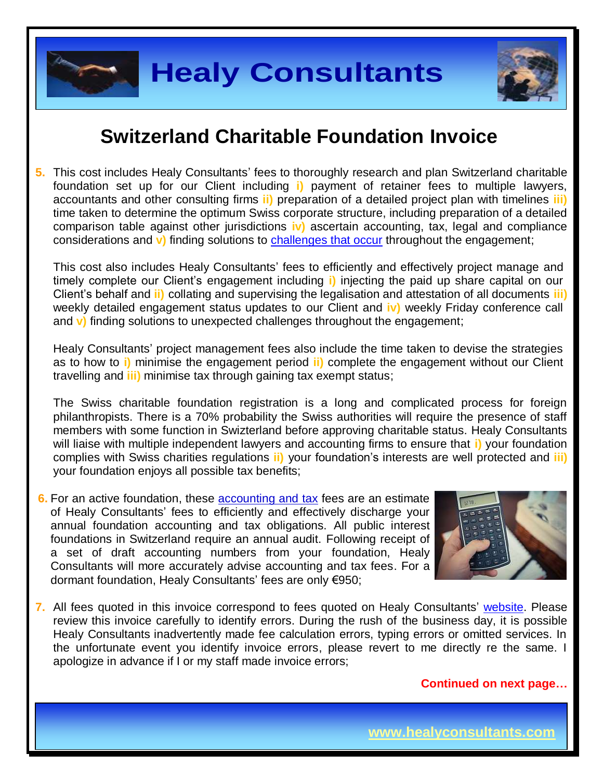



**5.** This cost includes Healy Consultants' fees to thoroughly research and plan Switzerland charitable foundation set up for our Client including **i)** payment of retainer fees to multiple lawyers, accountants and other consulting firms **ii)** preparation of a detailed project plan with timelines **iii)**  time taken to determine the optimum Swiss corporate structure, including preparation of a detailed comparison table against other jurisdictions **iv)** ascertain accounting, tax, legal and compliance considerations and **v)** finding solutions to [challenges that occur](http://www.healyconsultants.com/engagement-project-management/) throughout the engagement;

This cost also includes Healy Consultants' fees to efficiently and effectively project manage and timely complete our Client's engagement including **i)** injecting the paid up share capital on our Client's behalf and **ii)** collating and supervising the legalisation and attestation of all documents **iii)**  weekly detailed engagement status updates to our Client and **iv)** weekly Friday conference call and **v)** finding solutions to unexpected challenges throughout the engagement;

Healy Consultants' project management fees also include the time taken to devise the strategies as to how to **i)** minimise the engagement period **ii)** complete the engagement without our Client travelling and **iii)** minimise tax through gaining tax exempt status;

The Swiss charitable foundation registration is a long and complicated process for foreign philanthropists. There is a 70% probability the Swiss authorities will require the presence of staff members with some function in Swizterland before approving charitable status. Healy Consultants will liaise with multiple independent lawyers and accounting firms to ensure that **i)** your foundation complies with Swiss charities regulations **ii)** your foundation's interests are well protected and **iii)** your foundation enjoys all possible tax benefits;

**6.** For an active foundation, these [accounting and tax](http://www.healyconsultants.com/switzerland-company-registration/accounting-legal/) fees are an estimate of Healy Consultants' fees to efficiently and effectively discharge your annual foundation accounting and tax obligations. All public interest foundations in Switzerland require an annual audit. Following receipt of a set of draft accounting numbers from your foundation, Healy Consultants will more accurately advise accounting and tax fees. For a dormant foundation, Healy Consultants' fees are only €950;



**7.** All fees quoted in this invoice correspond to fees quoted on Healy Consultants' [website.](http://www.healyconsultants.com/company-registration-fees/) Please review this invoice carefully to identify errors. During the rush of the business day, it is possible Healy Consultants inadvertently made fee calculation errors, typing errors or omitted services. In the unfortunate event you identify invoice errors, please revert to me directly re the same. I apologize in advance if I or my staff made invoice errors;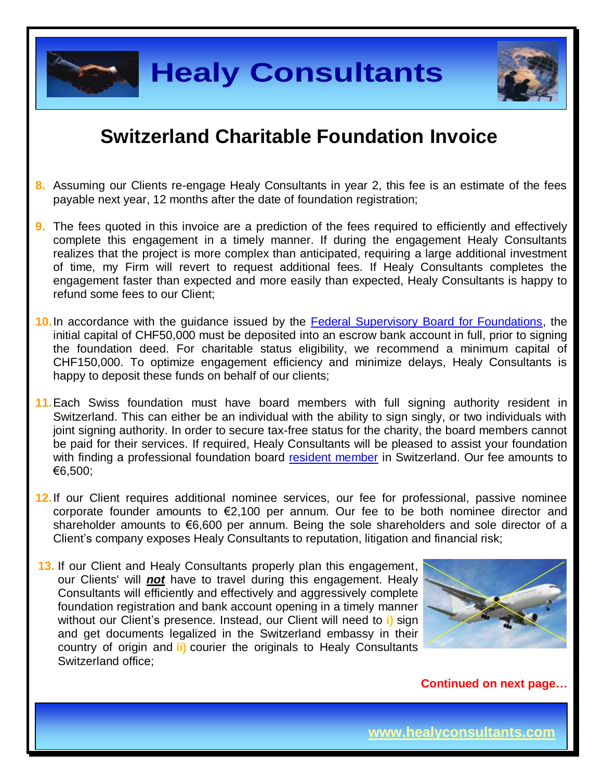

- **8.** Assuming our Clients re-engage Healy Consultants in year 2, this fee is an estimate of the fees payable next year, 12 months after the date of foundation registration;
- **9.** The fees quoted in this invoice are a prediction of the fees required to efficiently and effectively complete this engagement in a timely manner. If during the engagement Healy Consultants realizes that the project is more complex than anticipated, requiring a large additional investment of time, my Firm will revert to request additional fees. If Healy Consultants completes the engagement faster than expected and more easily than expected, Healy Consultants is happy to refund some fees to our Client;
- **10.**In accordance with the guidance issued by the [Federal Supervisory Board for Foundations,](http://www.edi.admin.ch/org/00344/00346/05157/index.html?lang=en) the initial capital of CHF50,000 must be deposited into an escrow bank account in full, prior to signing the foundation deed. For charitable status eligibility, we recommend a minimum capital of CHF150,000. To optimize engagement efficiency and minimize delays, Healy Consultants is happy to deposit these funds on behalf of our clients;
- **11.**Each Swiss foundation must have board members with full signing authority resident in Switzerland. This can either be an individual with the ability to sign singly, or two individuals with joint signing authority. In order to secure tax-free status for the charity, the board members cannot be paid for their services. If required, Healy Consultants will be pleased to assist your foundation with finding a professional foundation board [resident member](http://www.healyconsultants.com/resident-director-services/) in Switzerland. Our fee amounts to €6,500;
- **12.**If our Client requires additional nominee services, our fee for professional, passive nominee corporate founder amounts to  $\epsilon$ 2,100 per annum. Our fee to be both nominee director and shareholder amounts to €6,600 per annum. Being the sole shareholders and sole director of a Client's company exposes Healy Consultants to reputation, litigation and financial risk;
- **13.** If our Client and Healy Consultants properly plan this engagement, our Clients' will *not* have to travel during this engagement. Healy Consultants will efficiently and effectively and aggressively complete foundation registration and bank account opening in a timely manner without our Client's presence. Instead, our Client will need to **i)** sign and get documents legalized in the Switzerland embassy in their country of origin and **ii)** courier the originals to Healy Consultants Switzerland office;

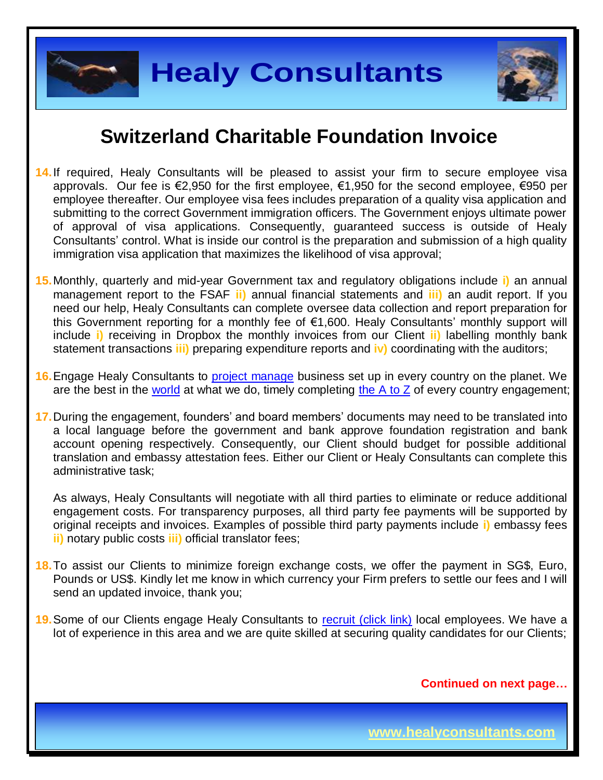



- **14.**If required, Healy Consultants will be pleased to assist your firm to secure employee visa approvals. Our fee is €2,950 for the first employee, €1,950 for the second employee, €950 per employee thereafter. Our employee visa fees includes preparation of a quality visa application and submitting to the correct Government immigration officers. The Government enjoys ultimate power of approval of visa applications. Consequently, guaranteed success is outside of Healy Consultants' control. What is inside our control is the preparation and submission of a high quality immigration visa application that maximizes the likelihood of visa approval;
- **15.**Monthly, quarterly and mid-year Government tax and regulatory obligations include **i)** an annual management report to the FSAF **ii)** annual financial statements and **iii)** an audit report. If you need our help, Healy Consultants can complete oversee data collection and report preparation for this Government reporting for a monthly fee of €1,600. Healy Consultants' monthly support will include **i)** receiving in Dropbox the monthly invoices from our Client **ii)** labelling monthly bank statement transactions **iii)** preparing expenditure reports and **iv)** coordinating with the auditors;
- **16.**Engage Healy Consultants to [project manage](http://www.healyconsultants.com/project-manage-engagements/) business set up in every country on the planet. We are the best in the [world](http://www.healyconsultants.com/best-in-the-world/) at what we do, timely completing the  $A$  to  $Z$  of every country engagement;
- **17.**During the engagement, founders' and board members' documents may need to be translated into a local language before the government and bank approve foundation registration and bank account opening respectively. Consequently, our Client should budget for possible additional translation and embassy attestation fees. Either our Client or Healy Consultants can complete this administrative task;

As always, Healy Consultants will negotiate with all third parties to eliminate or reduce additional engagement costs. For transparency purposes, all third party fee payments will be supported by original receipts and invoices. Examples of possible third party payments include **i)** embassy fees **ii)** notary public costs **iii)** official translator fees;

- **18.**To assist our Clients to minimize foreign exchange costs, we offer the payment in SG\$, Euro, Pounds or US\$. Kindly let me know in which currency your Firm prefers to settle our fees and I will send an updated invoice, thank you;
- **19.** Some of our Clients engage Healy Consultants to [recruit \(click link\)](http://www.healyconsultants.com/corporate-outsourcing-services/how-we-help-our-clients-recruit-quality-employees/) local employees. We have a lot of experience in this area and we are quite skilled at securing quality candidates for our Clients;

**Continued on next page…**

**www.healyconsultants.com**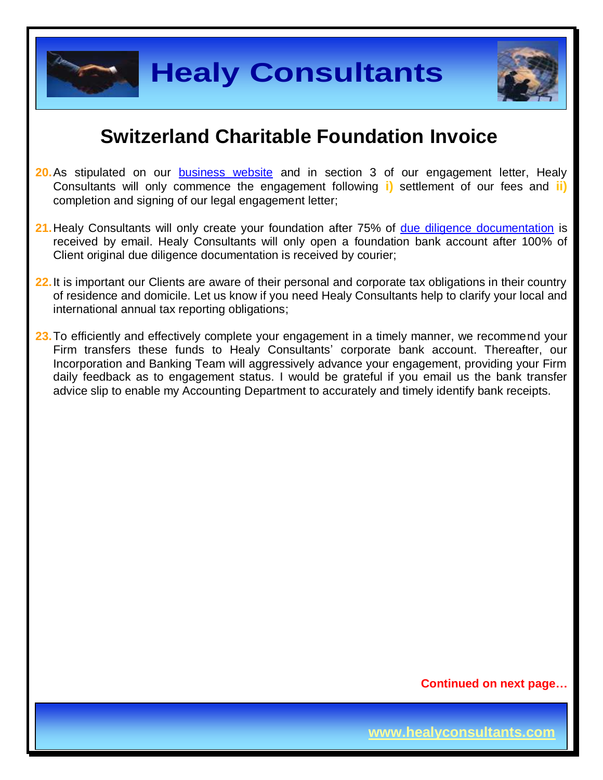

**Healy Consultants**

#### **Switzerland Charitable Foundation Invoice**

- **20.** As stipulated on our **[business website](http://www.healyconsultants.com/)** and in section 3 of our engagement letter, Healy Consultants will only commence the engagement following **i)** settlement of our fees and **ii)** completion and signing of our legal engagement letter;
- 21. Healy Consultants will only create your foundation after 75% of [due diligence documentation](http://www.healyconsultants.com/due-diligence/) is received by email. Healy Consultants will only open a foundation bank account after 100% of Client original due diligence documentation is received by courier;
- **22.**It is important our Clients are aware of their personal and corporate tax obligations in their country of residence and domicile. Let us know if you need Healy Consultants help to clarify your local and international annual tax reporting obligations;
- 23. To efficiently and effectively complete your engagement in a timely manner, we recommend your Firm transfers these funds to Healy Consultants' corporate bank account. Thereafter, our Incorporation and Banking Team will aggressively advance your engagement, providing your Firm daily feedback as to engagement status. I would be grateful if you email us the bank transfer advice slip to enable my Accounting Department to accurately and timely identify bank receipts.